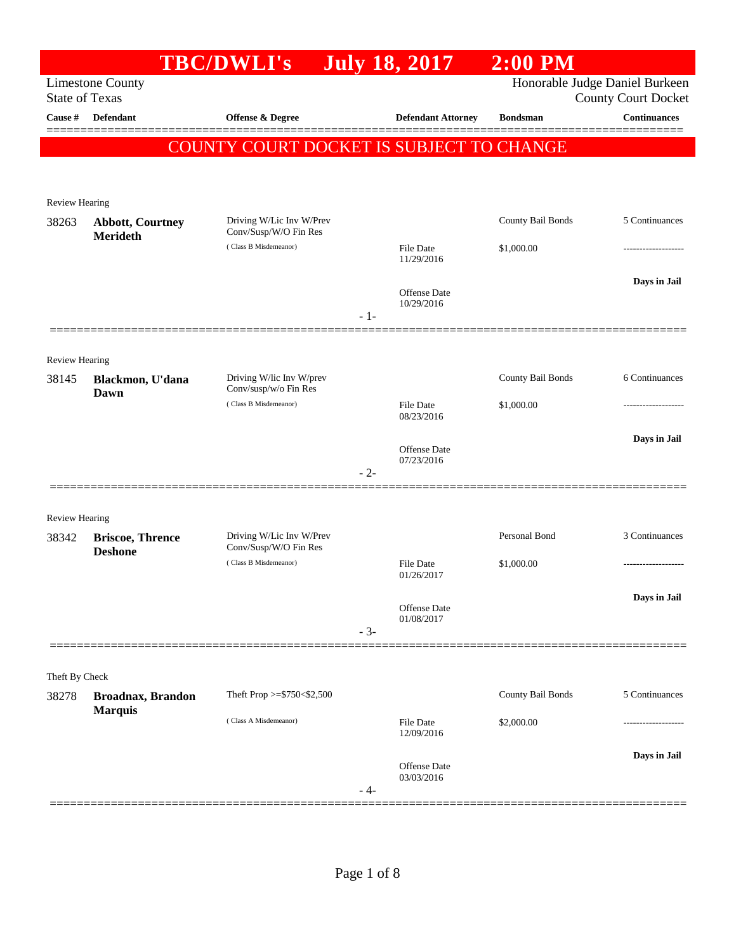|                       |                                            | <b>TBC/DWLI's</b>                                 |       | <b>July 18, 2017</b>           | $2:00$ PM         |                                                              |
|-----------------------|--------------------------------------------|---------------------------------------------------|-------|--------------------------------|-------------------|--------------------------------------------------------------|
| <b>State of Texas</b> | <b>Limestone County</b>                    |                                                   |       |                                |                   | Honorable Judge Daniel Burkeen<br><b>County Court Docket</b> |
| Cause #               | <b>Defendant</b>                           | Offense & Degree                                  |       | <b>Defendant Attorney</b>      | <b>Bondsman</b>   | <b>Continuances</b>                                          |
|                       |                                            | COUNTY COURT DOCKET IS SUBJECT TO CHANGE          |       |                                |                   |                                                              |
|                       |                                            |                                                   |       |                                |                   |                                                              |
| Review Hearing        |                                            |                                                   |       |                                |                   |                                                              |
| 38263                 | <b>Abbott, Courtney</b><br><b>Merideth</b> | Driving W/Lic Inv W/Prev<br>Conv/Susp/W/O Fin Res |       |                                | County Bail Bonds | 5 Continuances                                               |
|                       |                                            | (Class B Misdemeanor)                             |       | <b>File Date</b><br>11/29/2016 | \$1,000.00        |                                                              |
|                       |                                            |                                                   |       |                                |                   | Days in Jail                                                 |
|                       |                                            |                                                   | $-1-$ | Offense Date<br>10/29/2016     |                   |                                                              |
|                       |                                            |                                                   |       |                                |                   |                                                              |
| Review Hearing        |                                            |                                                   |       |                                |                   |                                                              |
| 38145                 | Blackmon, U'dana<br>Dawn                   | Driving W/lic Inv W/prev<br>Conv/susp/w/o Fin Res |       |                                | County Bail Bonds | 6 Continuances                                               |
|                       |                                            | (Class B Misdemeanor)                             |       | <b>File Date</b><br>08/23/2016 | \$1,000.00        |                                                              |
|                       |                                            |                                                   |       | Offense Date                   |                   | Days in Jail                                                 |
|                       |                                            |                                                   | $-2-$ | 07/23/2016                     |                   |                                                              |
|                       |                                            |                                                   |       |                                |                   |                                                              |
| <b>Review Hearing</b> |                                            |                                                   |       |                                |                   |                                                              |
| 38342                 | <b>Briscoe, Thrence</b><br><b>Deshone</b>  | Driving W/Lic Inv W/Prev<br>Conv/Susp/W/O Fin Res |       |                                | Personal Bond     | 3 Continuances                                               |
|                       |                                            | (Class B Misdemeanor)                             |       | <b>File Date</b><br>01/26/2017 | \$1,000.00        |                                                              |
|                       |                                            |                                                   |       | Offense Date                   |                   | Days in Jail                                                 |
|                       |                                            |                                                   | $-3-$ | 01/08/2017                     |                   |                                                              |
|                       |                                            |                                                   |       |                                |                   |                                                              |
| Theft By Check        |                                            |                                                   |       |                                |                   |                                                              |
| 38278                 | Broadnax, Brandon<br><b>Marquis</b>        | Theft Prop $>=$ \$750 < \$2,500                   |       |                                | County Bail Bonds | 5 Continuances                                               |
|                       |                                            | (Class A Misdemeanor)                             |       | <b>File Date</b><br>12/09/2016 | \$2,000.00        |                                                              |
|                       |                                            |                                                   |       |                                |                   | Days in Jail                                                 |
|                       |                                            |                                                   | - 4-  | Offense Date<br>03/03/2016     |                   |                                                              |
|                       |                                            |                                                   |       |                                |                   |                                                              |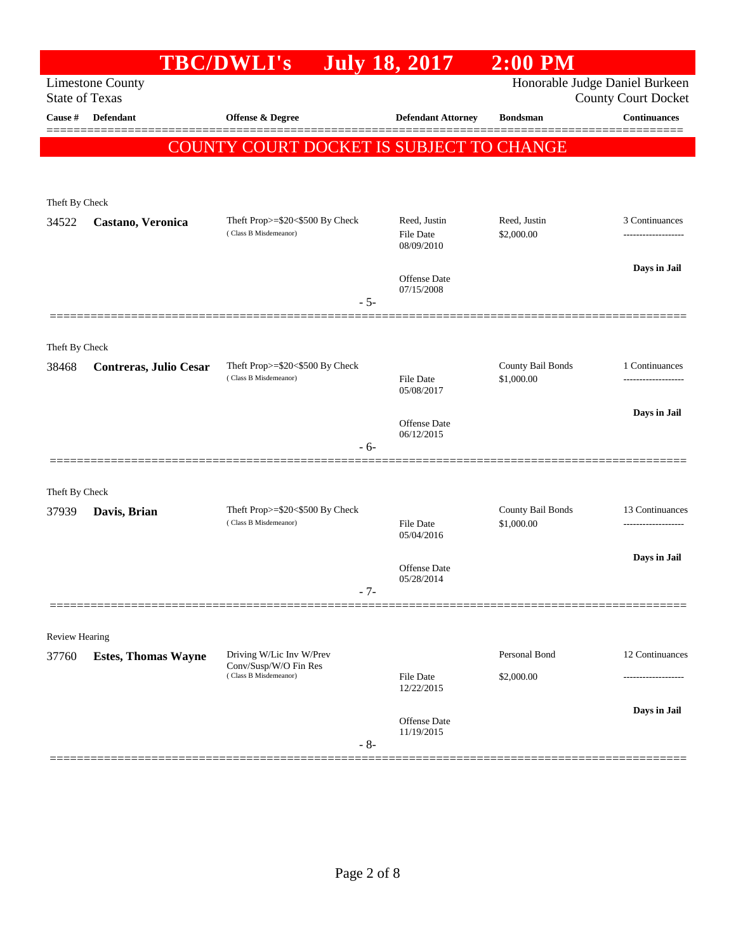|                |                                                  | <b>TBC/DWLI's</b>                                 | <b>July 18, 2017</b>           | $2:00$ PM         |                                                              |
|----------------|--------------------------------------------------|---------------------------------------------------|--------------------------------|-------------------|--------------------------------------------------------------|
|                | <b>Limestone County</b><br><b>State of Texas</b> |                                                   |                                |                   | Honorable Judge Daniel Burkeen<br><b>County Court Docket</b> |
| Cause #        | <b>Defendant</b>                                 | <b>Offense &amp; Degree</b>                       | <b>Defendant Attorney</b>      | <b>Bondsman</b>   | <b>Continuances</b>                                          |
|                |                                                  | COUNTY COURT DOCKET IS SUBJECT TO CHANGE          |                                |                   |                                                              |
|                |                                                  |                                                   |                                |                   |                                                              |
| Theft By Check |                                                  |                                                   |                                |                   |                                                              |
| 34522          | Castano, Veronica                                | Theft Prop>=\$20<\$500 By Check                   | Reed, Justin                   | Reed, Justin      | 3 Continuances                                               |
|                |                                                  | (Class B Misdemeanor)                             | <b>File Date</b><br>08/09/2010 | \$2,000.00        |                                                              |
|                |                                                  |                                                   |                                |                   | Days in Jail                                                 |
|                |                                                  |                                                   | Offense Date<br>07/15/2008     |                   |                                                              |
|                |                                                  | $-5-$                                             |                                |                   |                                                              |
| Theft By Check |                                                  |                                                   |                                |                   |                                                              |
| 38468          | Contreras, Julio Cesar                           | Theft Prop>=\$20<\$500 By Check                   |                                | County Bail Bonds | 1 Continuances                                               |
|                |                                                  | (Class B Misdemeanor)                             | File Date<br>05/08/2017        | \$1,000.00        |                                                              |
|                |                                                  |                                                   |                                |                   | Days in Jail                                                 |
|                |                                                  |                                                   | Offense Date<br>06/12/2015     |                   |                                                              |
|                |                                                  | $-6-$                                             |                                |                   |                                                              |
| Theft By Check |                                                  |                                                   |                                |                   |                                                              |
| 37939          | Davis, Brian                                     | Theft Prop>=\$20<\$500 By Check                   |                                | County Bail Bonds | 13 Continuances                                              |
|                |                                                  | (Class B Misdemeanor)                             | <b>File Date</b><br>05/04/2016 | \$1,000.00        |                                                              |
|                |                                                  |                                                   | Offense Date                   |                   | Days in Jail                                                 |
|                |                                                  | $-7-$                                             | 05/28/2014                     |                   |                                                              |
|                |                                                  |                                                   |                                |                   |                                                              |
| Review Hearing |                                                  |                                                   |                                |                   |                                                              |
| 37760          | <b>Estes, Thomas Wayne</b>                       | Driving W/Lic Inv W/Prev<br>Conv/Susp/W/O Fin Res |                                | Personal Bond     | 12 Continuances                                              |
|                |                                                  | (Class B Misdemeanor)                             | File Date<br>12/22/2015        | \$2,000.00        |                                                              |
|                |                                                  |                                                   |                                |                   | Days in Jail                                                 |
|                |                                                  |                                                   | Offense Date<br>11/19/2015     |                   |                                                              |
|                |                                                  | $-8-$                                             |                                |                   |                                                              |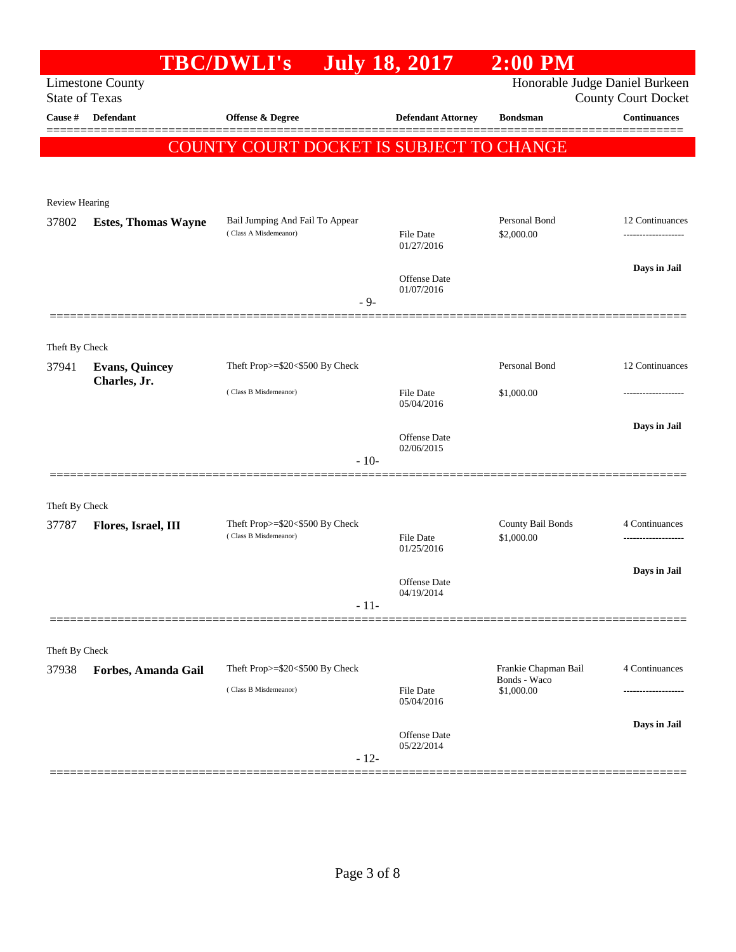| Honorable Judge Daniel Burkeen<br><b>Limestone County</b><br><b>State of Texas</b><br><b>County Court Docket</b><br><b>Continuances</b><br><b>Defendant</b><br>Offense & Degree<br><b>Defendant Attorney</b><br><b>Bondsman</b><br>COUNTY COURT DOCKET IS SUBJECT TO CHANGE<br>Review Hearing<br>Personal Bond<br>Bail Jumping And Fail To Appear<br>12 Continuances<br>37802<br><b>Estes, Thomas Wayne</b><br>(Class A Misdemeanor)<br>\$2,000.00<br><b>File Date</b><br>01/27/2016<br>Days in Jail<br><b>Offense Date</b><br>01/07/2016<br>$-9-$<br>Theft By Check<br>Personal Bond<br>12 Continuances<br>Theft Prop>=\$20<\$500 By Check<br><b>Evans, Quincey</b><br>37941<br>Charles, Jr.<br>(Class B Misdemeanor)<br><b>File Date</b><br>\$1,000.00<br>05/04/2016<br>Days in Jail<br>Offense Date<br>02/06/2015<br>$-10-$<br>Theft By Check<br>Theft Prop>=\$20<\$500 By Check<br>County Bail Bonds<br>4 Continuances<br>37787<br>Flores, Israel, III<br>(Class B Misdemeanor)<br>\$1,000.00<br><b>File Date</b><br>01/25/2016<br>Days in Jail<br>Offense Date<br>04/19/2014<br>$-11-$<br>Theft By Check<br>4 Continuances<br>Theft Prop>=\$20<\$500 By Check<br>Frankie Chapman Bail<br>Forbes, Amanda Gail<br>Bonds - Waco<br>(Class B Misdemeanor)<br><b>File Date</b><br>\$1,000.00<br>05/04/2016<br>Days in Jail<br>Offense Date<br>05/22/2014<br>$-12-$ |         | <b>TBC/DWLI's</b> | <b>July 18, 2017</b> | $2:00$ PM |  |
|--------------------------------------------------------------------------------------------------------------------------------------------------------------------------------------------------------------------------------------------------------------------------------------------------------------------------------------------------------------------------------------------------------------------------------------------------------------------------------------------------------------------------------------------------------------------------------------------------------------------------------------------------------------------------------------------------------------------------------------------------------------------------------------------------------------------------------------------------------------------------------------------------------------------------------------------------------------------------------------------------------------------------------------------------------------------------------------------------------------------------------------------------------------------------------------------------------------------------------------------------------------------------------------------------------------------------------------------------------------------|---------|-------------------|----------------------|-----------|--|
|                                                                                                                                                                                                                                                                                                                                                                                                                                                                                                                                                                                                                                                                                                                                                                                                                                                                                                                                                                                                                                                                                                                                                                                                                                                                                                                                                                    |         |                   |                      |           |  |
|                                                                                                                                                                                                                                                                                                                                                                                                                                                                                                                                                                                                                                                                                                                                                                                                                                                                                                                                                                                                                                                                                                                                                                                                                                                                                                                                                                    | Cause # |                   |                      |           |  |
|                                                                                                                                                                                                                                                                                                                                                                                                                                                                                                                                                                                                                                                                                                                                                                                                                                                                                                                                                                                                                                                                                                                                                                                                                                                                                                                                                                    |         |                   |                      |           |  |
|                                                                                                                                                                                                                                                                                                                                                                                                                                                                                                                                                                                                                                                                                                                                                                                                                                                                                                                                                                                                                                                                                                                                                                                                                                                                                                                                                                    |         |                   |                      |           |  |
|                                                                                                                                                                                                                                                                                                                                                                                                                                                                                                                                                                                                                                                                                                                                                                                                                                                                                                                                                                                                                                                                                                                                                                                                                                                                                                                                                                    |         |                   |                      |           |  |
|                                                                                                                                                                                                                                                                                                                                                                                                                                                                                                                                                                                                                                                                                                                                                                                                                                                                                                                                                                                                                                                                                                                                                                                                                                                                                                                                                                    |         |                   |                      |           |  |
|                                                                                                                                                                                                                                                                                                                                                                                                                                                                                                                                                                                                                                                                                                                                                                                                                                                                                                                                                                                                                                                                                                                                                                                                                                                                                                                                                                    |         |                   |                      |           |  |
|                                                                                                                                                                                                                                                                                                                                                                                                                                                                                                                                                                                                                                                                                                                                                                                                                                                                                                                                                                                                                                                                                                                                                                                                                                                                                                                                                                    |         |                   |                      |           |  |
|                                                                                                                                                                                                                                                                                                                                                                                                                                                                                                                                                                                                                                                                                                                                                                                                                                                                                                                                                                                                                                                                                                                                                                                                                                                                                                                                                                    |         |                   |                      |           |  |
|                                                                                                                                                                                                                                                                                                                                                                                                                                                                                                                                                                                                                                                                                                                                                                                                                                                                                                                                                                                                                                                                                                                                                                                                                                                                                                                                                                    |         |                   |                      |           |  |
|                                                                                                                                                                                                                                                                                                                                                                                                                                                                                                                                                                                                                                                                                                                                                                                                                                                                                                                                                                                                                                                                                                                                                                                                                                                                                                                                                                    |         |                   |                      |           |  |
|                                                                                                                                                                                                                                                                                                                                                                                                                                                                                                                                                                                                                                                                                                                                                                                                                                                                                                                                                                                                                                                                                                                                                                                                                                                                                                                                                                    |         |                   |                      |           |  |
|                                                                                                                                                                                                                                                                                                                                                                                                                                                                                                                                                                                                                                                                                                                                                                                                                                                                                                                                                                                                                                                                                                                                                                                                                                                                                                                                                                    |         |                   |                      |           |  |
|                                                                                                                                                                                                                                                                                                                                                                                                                                                                                                                                                                                                                                                                                                                                                                                                                                                                                                                                                                                                                                                                                                                                                                                                                                                                                                                                                                    |         |                   |                      |           |  |
|                                                                                                                                                                                                                                                                                                                                                                                                                                                                                                                                                                                                                                                                                                                                                                                                                                                                                                                                                                                                                                                                                                                                                                                                                                                                                                                                                                    |         |                   |                      |           |  |
|                                                                                                                                                                                                                                                                                                                                                                                                                                                                                                                                                                                                                                                                                                                                                                                                                                                                                                                                                                                                                                                                                                                                                                                                                                                                                                                                                                    |         |                   |                      |           |  |
|                                                                                                                                                                                                                                                                                                                                                                                                                                                                                                                                                                                                                                                                                                                                                                                                                                                                                                                                                                                                                                                                                                                                                                                                                                                                                                                                                                    |         |                   |                      |           |  |
|                                                                                                                                                                                                                                                                                                                                                                                                                                                                                                                                                                                                                                                                                                                                                                                                                                                                                                                                                                                                                                                                                                                                                                                                                                                                                                                                                                    |         |                   |                      |           |  |
|                                                                                                                                                                                                                                                                                                                                                                                                                                                                                                                                                                                                                                                                                                                                                                                                                                                                                                                                                                                                                                                                                                                                                                                                                                                                                                                                                                    |         |                   |                      |           |  |
|                                                                                                                                                                                                                                                                                                                                                                                                                                                                                                                                                                                                                                                                                                                                                                                                                                                                                                                                                                                                                                                                                                                                                                                                                                                                                                                                                                    |         |                   |                      |           |  |
|                                                                                                                                                                                                                                                                                                                                                                                                                                                                                                                                                                                                                                                                                                                                                                                                                                                                                                                                                                                                                                                                                                                                                                                                                                                                                                                                                                    |         |                   |                      |           |  |
|                                                                                                                                                                                                                                                                                                                                                                                                                                                                                                                                                                                                                                                                                                                                                                                                                                                                                                                                                                                                                                                                                                                                                                                                                                                                                                                                                                    |         |                   |                      |           |  |
|                                                                                                                                                                                                                                                                                                                                                                                                                                                                                                                                                                                                                                                                                                                                                                                                                                                                                                                                                                                                                                                                                                                                                                                                                                                                                                                                                                    |         |                   |                      |           |  |
|                                                                                                                                                                                                                                                                                                                                                                                                                                                                                                                                                                                                                                                                                                                                                                                                                                                                                                                                                                                                                                                                                                                                                                                                                                                                                                                                                                    |         |                   |                      |           |  |
|                                                                                                                                                                                                                                                                                                                                                                                                                                                                                                                                                                                                                                                                                                                                                                                                                                                                                                                                                                                                                                                                                                                                                                                                                                                                                                                                                                    |         |                   |                      |           |  |
|                                                                                                                                                                                                                                                                                                                                                                                                                                                                                                                                                                                                                                                                                                                                                                                                                                                                                                                                                                                                                                                                                                                                                                                                                                                                                                                                                                    | 37938   |                   |                      |           |  |
|                                                                                                                                                                                                                                                                                                                                                                                                                                                                                                                                                                                                                                                                                                                                                                                                                                                                                                                                                                                                                                                                                                                                                                                                                                                                                                                                                                    |         |                   |                      |           |  |
|                                                                                                                                                                                                                                                                                                                                                                                                                                                                                                                                                                                                                                                                                                                                                                                                                                                                                                                                                                                                                                                                                                                                                                                                                                                                                                                                                                    |         |                   |                      |           |  |
|                                                                                                                                                                                                                                                                                                                                                                                                                                                                                                                                                                                                                                                                                                                                                                                                                                                                                                                                                                                                                                                                                                                                                                                                                                                                                                                                                                    |         |                   |                      |           |  |
|                                                                                                                                                                                                                                                                                                                                                                                                                                                                                                                                                                                                                                                                                                                                                                                                                                                                                                                                                                                                                                                                                                                                                                                                                                                                                                                                                                    |         |                   |                      |           |  |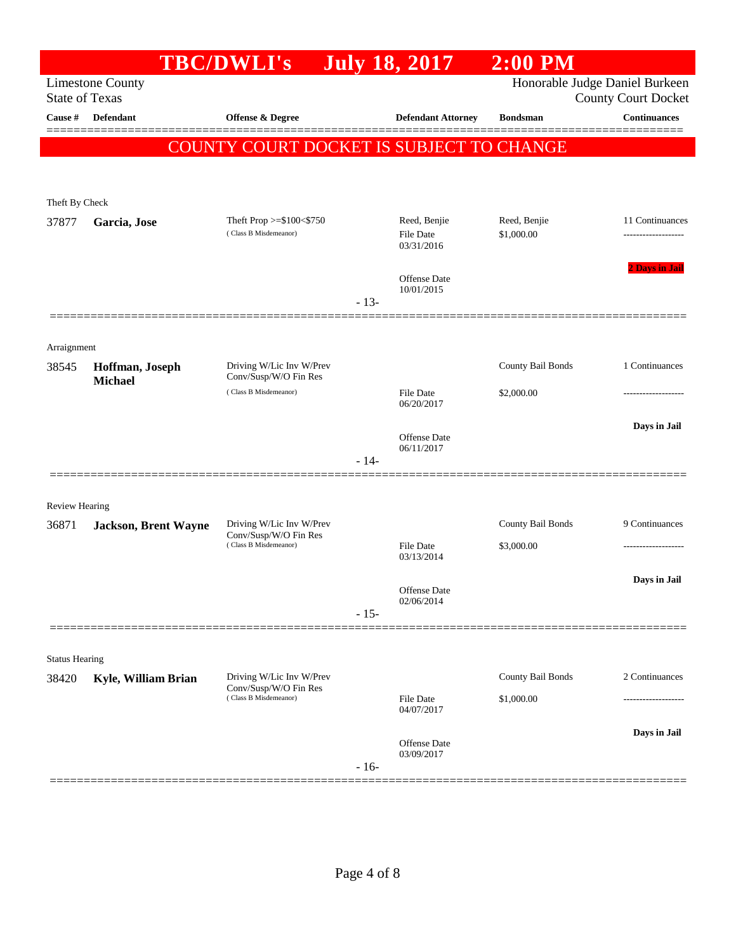|                       |                                   | <b>TBC/DWLI's</b>                                                          |        | <b>July 18, 2017</b>              | $2:00$ PM         |                                                              |
|-----------------------|-----------------------------------|----------------------------------------------------------------------------|--------|-----------------------------------|-------------------|--------------------------------------------------------------|
| <b>State of Texas</b> | <b>Limestone County</b>           |                                                                            |        |                                   |                   | Honorable Judge Daniel Burkeen<br><b>County Court Docket</b> |
| Cause #               | Defendant                         | Offense & Degree                                                           |        | <b>Defendant Attorney</b>         | <b>Bondsman</b>   | <b>Continuances</b>                                          |
|                       |                                   | <b>COUNTY COURT DOCKET IS SUBJECT TO CHANGE</b>                            |        |                                   |                   |                                                              |
|                       |                                   |                                                                            |        |                                   |                   |                                                              |
| Theft By Check        |                                   |                                                                            |        |                                   |                   |                                                              |
| 37877                 | Garcia, Jose                      | Theft Prop >=\$100<\$750                                                   |        | Reed, Benjie                      | Reed, Benjie      | 11 Continuances                                              |
|                       |                                   | (Class B Misdemeanor)                                                      |        | <b>File Date</b><br>03/31/2016    | \$1,000.00        |                                                              |
|                       |                                   |                                                                            |        | <b>Offense Date</b><br>10/01/2015 |                   | <b>2 Days in Jail</b>                                        |
|                       |                                   |                                                                            | $-13-$ |                                   |                   |                                                              |
|                       |                                   |                                                                            |        |                                   |                   |                                                              |
| Arraignment           |                                   |                                                                            |        |                                   |                   |                                                              |
| 38545                 | Hoffman, Joseph<br><b>Michael</b> | Driving W/Lic Inv W/Prev<br>Conv/Susp/W/O Fin Res                          |        |                                   | County Bail Bonds | 1 Continuances                                               |
|                       |                                   | (Class B Misdemeanor)                                                      |        | File Date<br>06/20/2017           | \$2,000.00        |                                                              |
|                       |                                   |                                                                            |        | <b>Offense Date</b>               |                   | Days in Jail                                                 |
|                       |                                   |                                                                            | $-14-$ | 06/11/2017                        |                   |                                                              |
|                       |                                   |                                                                            |        |                                   |                   |                                                              |
| <b>Review Hearing</b> |                                   |                                                                            |        |                                   |                   |                                                              |
| 36871                 | <b>Jackson, Brent Wayne</b>       | Driving W/Lic Inv W/Prev                                                   |        |                                   | County Bail Bonds | 9 Continuances                                               |
|                       |                                   | Conv/Susp/W/O Fin Res<br>(Class B Misdemeanor)                             |        | File Date<br>03/13/2014           | \$3,000.00        | ------------------                                           |
|                       |                                   |                                                                            |        |                                   |                   | Days in Jail                                                 |
|                       |                                   |                                                                            |        | Offense Date<br>02/06/2014        |                   |                                                              |
|                       |                                   |                                                                            | $-15-$ |                                   |                   |                                                              |
|                       |                                   |                                                                            |        |                                   |                   |                                                              |
| <b>Status Hearing</b> |                                   |                                                                            |        |                                   |                   |                                                              |
| 38420                 | Kyle, William Brian               | Driving W/Lic Inv W/Prev<br>Conv/Susp/W/O Fin Res<br>(Class B Misdemeanor) |        |                                   | County Bail Bonds | 2 Continuances                                               |
|                       |                                   |                                                                            |        | File Date<br>04/07/2017           | \$1,000.00        |                                                              |
|                       |                                   |                                                                            |        | Offense Date                      |                   | Days in Jail                                                 |
|                       |                                   |                                                                            | $-16-$ | 03/09/2017                        |                   |                                                              |
|                       |                                   |                                                                            |        |                                   |                   |                                                              |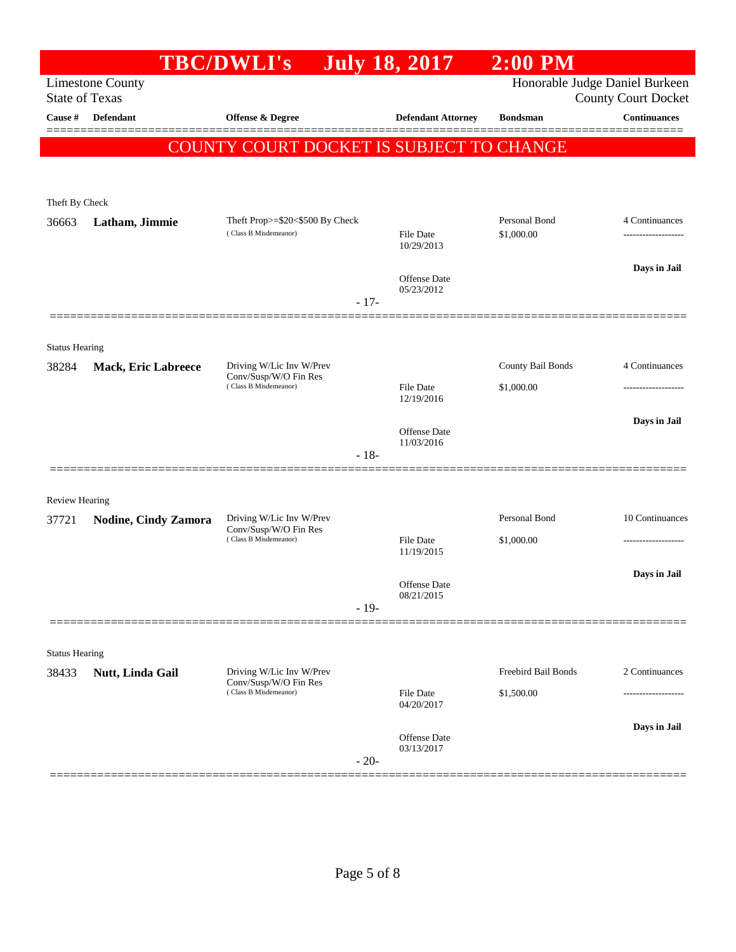|                       |                            | <b>TBC/DWLI's</b>                                                          |        | <b>July 18, 2017</b>              | $2:00$ PM                       |                                                              |
|-----------------------|----------------------------|----------------------------------------------------------------------------|--------|-----------------------------------|---------------------------------|--------------------------------------------------------------|
| <b>State of Texas</b> | <b>Limestone County</b>    |                                                                            |        |                                   |                                 | Honorable Judge Daniel Burkeen<br><b>County Court Docket</b> |
| Cause #               | Defendant                  | <b>Offense &amp; Degree</b>                                                |        | <b>Defendant Attorney</b>         | <b>Bondsman</b>                 | <b>Continuances</b>                                          |
|                       |                            | COUNTY COURT DOCKET IS SUBJECT TO CHANGE                                   |        |                                   |                                 |                                                              |
|                       |                            |                                                                            |        |                                   |                                 |                                                              |
| Theft By Check        |                            |                                                                            |        |                                   |                                 |                                                              |
| 36663                 | Latham, Jimmie             | Theft Prop>=\$20<\$500 By Check<br>(Class B Misdemeanor)                   |        | File Date                         | Personal Bond<br>\$1,000.00     | 4 Continuances                                               |
|                       |                            |                                                                            |        | 10/29/2013                        |                                 |                                                              |
|                       |                            |                                                                            |        | <b>Offense</b> Date               |                                 | Days in Jail                                                 |
|                       |                            |                                                                            | $-17-$ | 05/23/2012                        |                                 |                                                              |
|                       |                            |                                                                            |        |                                   |                                 |                                                              |
| <b>Status Hearing</b> |                            |                                                                            |        |                                   |                                 |                                                              |
| 38284                 | <b>Mack, Eric Labreece</b> | Driving W/Lic Inv W/Prev<br>Conv/Susp/W/O Fin Res<br>(Class B Misdemeanor) |        | File Date                         | County Bail Bonds<br>\$1,000.00 | 4 Continuances                                               |
|                       |                            |                                                                            |        | 12/19/2016                        |                                 |                                                              |
|                       |                            |                                                                            |        | <b>Offense</b> Date               |                                 | Days in Jail                                                 |
|                       |                            |                                                                            | $-18-$ | 11/03/2016                        |                                 |                                                              |
|                       |                            |                                                                            |        |                                   |                                 |                                                              |
| <b>Review Hearing</b> |                            |                                                                            |        |                                   |                                 |                                                              |
| 37721                 | Nodine, Cindy Zamora       | Driving W/Lic Inv W/Prev<br>Conv/Susp/W/O Fin Res                          |        |                                   | Personal Bond                   | 10 Continuances                                              |
|                       |                            | (Class B Misdemeanor)                                                      |        | <b>File Date</b><br>11/19/2015    | \$1,000.00                      | -------------------                                          |
|                       |                            |                                                                            |        | <b>Offense</b> Date               |                                 | Days in Jail                                                 |
|                       |                            |                                                                            | $-19-$ | 08/21/2015                        |                                 |                                                              |
|                       |                            |                                                                            |        |                                   |                                 |                                                              |
| <b>Status Hearing</b> |                            |                                                                            |        |                                   |                                 |                                                              |
| 38433                 | Nutt, Linda Gail           | Driving W/Lic Inv W/Prev<br>Conv/Susp/W/O Fin Res                          |        |                                   | Freebird Bail Bonds             | 2 Continuances                                               |
|                       |                            | (Class B Misdemeanor)                                                      |        | File Date<br>04/20/2017           | \$1,500.00                      | .                                                            |
|                       |                            |                                                                            |        |                                   |                                 | Days in Jail                                                 |
|                       |                            |                                                                            | $-20-$ | <b>Offense</b> Date<br>03/13/2017 |                                 |                                                              |
|                       |                            |                                                                            |        |                                   |                                 |                                                              |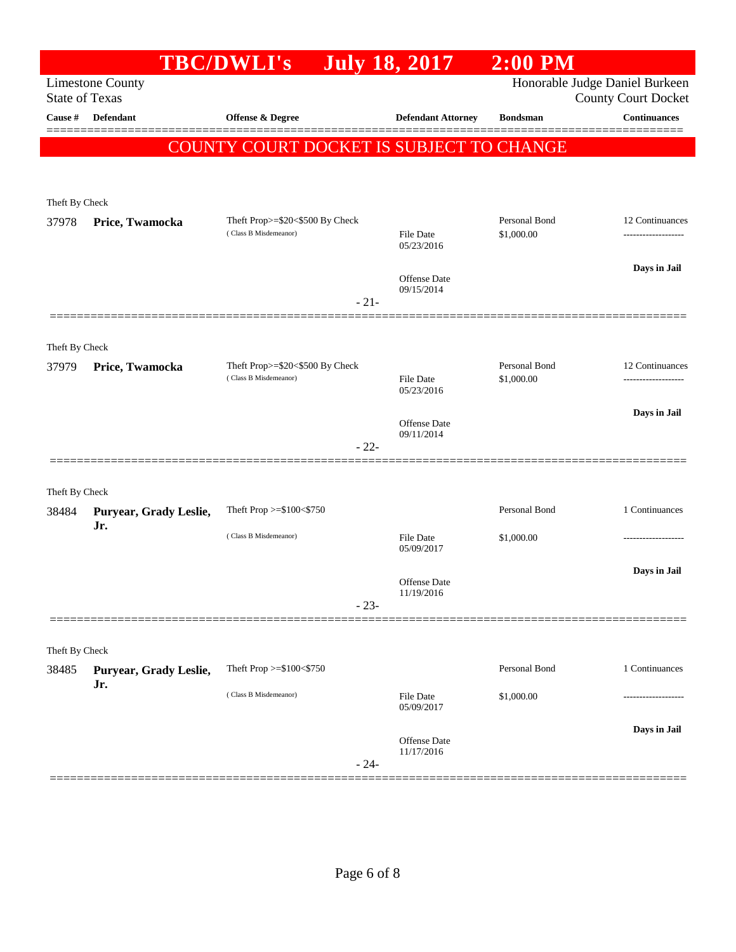|                       |                               | <b>TBC/DWLI's</b>                                        | <b>July 18, 2017</b>           | $2:00$ PM                   |                                                              |
|-----------------------|-------------------------------|----------------------------------------------------------|--------------------------------|-----------------------------|--------------------------------------------------------------|
| <b>State of Texas</b> | <b>Limestone County</b>       |                                                          |                                |                             | Honorable Judge Daniel Burkeen<br><b>County Court Docket</b> |
| Cause #               | <b>Defendant</b>              | <b>Offense &amp; Degree</b>                              | <b>Defendant Attorney</b>      | <b>Bondsman</b>             | <b>Continuances</b>                                          |
|                       |                               | COUNTY COURT DOCKET IS SUBJECT TO CHANGE                 |                                |                             |                                                              |
|                       |                               |                                                          |                                |                             |                                                              |
| Theft By Check        |                               |                                                          |                                |                             |                                                              |
| 37978                 | Price, Twamocka               | Theft Prop>=\$20<\$500 By Check<br>(Class B Misdemeanor) |                                | Personal Bond               | 12 Continuances                                              |
|                       |                               |                                                          | <b>File Date</b><br>05/23/2016 | \$1,000.00                  |                                                              |
|                       |                               |                                                          | Offense Date                   |                             | Days in Jail                                                 |
|                       |                               | $-21-$                                                   | 09/15/2014                     |                             |                                                              |
|                       |                               |                                                          |                                |                             |                                                              |
| Theft By Check        |                               |                                                          |                                |                             |                                                              |
| 37979                 | Price, Twamocka               | Theft Prop>=\$20<\$500 By Check<br>(Class B Misdemeanor) | <b>File Date</b>               | Personal Bond<br>\$1,000.00 | 12 Continuances                                              |
|                       |                               |                                                          | 05/23/2016                     |                             |                                                              |
|                       |                               |                                                          | Offense Date                   |                             | Days in Jail                                                 |
|                       |                               | $-22-$                                                   | 09/11/2014                     |                             |                                                              |
|                       |                               |                                                          |                                |                             |                                                              |
| Theft By Check        |                               |                                                          |                                | Personal Bond               | 1 Continuances                                               |
| 38484                 | Puryear, Grady Leslie,<br>Jr. | Theft Prop >=\$100<\$750                                 |                                |                             |                                                              |
|                       |                               | (Class B Misdemeanor)                                    | <b>File Date</b><br>05/09/2017 | \$1,000.00                  |                                                              |
|                       |                               |                                                          | Offense Date                   |                             | Days in Jail                                                 |
|                       |                               | $-23-$                                                   | 11/19/2016                     |                             |                                                              |
|                       |                               |                                                          |                                |                             |                                                              |
| Theft By Check        |                               |                                                          |                                |                             |                                                              |
| 38485                 | Puryear, Grady Leslie,        | Theft Prop >=\$100<\$750                                 |                                | Personal Bond               | 1 Continuances                                               |
|                       | Jr.                           | (Class B Misdemeanor)                                    | <b>File Date</b><br>05/09/2017 | \$1,000.00                  |                                                              |
|                       |                               |                                                          | Offense Date                   |                             | Days in Jail                                                 |
|                       |                               | $-24-$                                                   | 11/17/2016                     |                             |                                                              |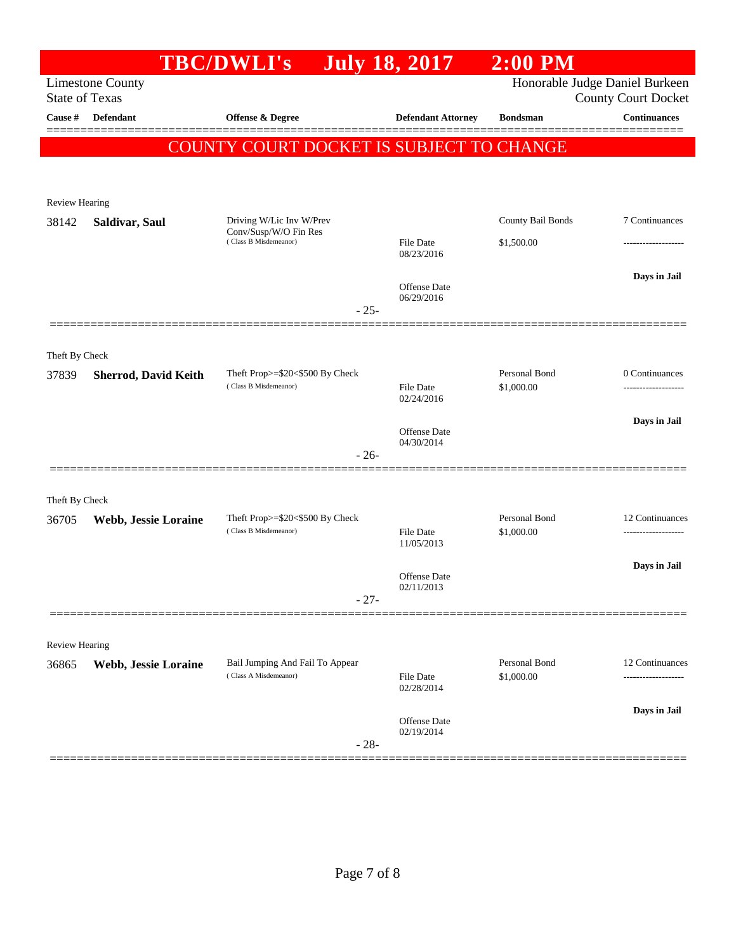|                                  |                             | <b>TBC/DWLI's</b>                                        | <b>July 18, 2017</b>              | $2:00$ PM                   |                                                   |
|----------------------------------|-----------------------------|----------------------------------------------------------|-----------------------------------|-----------------------------|---------------------------------------------------|
|                                  | <b>Limestone County</b>     |                                                          |                                   |                             | Honorable Judge Daniel Burkeen                    |
| <b>State of Texas</b><br>Cause # | Defendant                   | <b>Offense &amp; Degree</b>                              | <b>Defendant Attorney</b>         | <b>Bondsman</b>             | <b>County Court Docket</b><br><b>Continuances</b> |
|                                  |                             |                                                          |                                   |                             |                                                   |
|                                  |                             | <b>COUNTY COURT DOCKET IS SUBJECT TO CHANGE</b>          |                                   |                             |                                                   |
|                                  |                             |                                                          |                                   |                             |                                                   |
| Review Hearing                   |                             |                                                          |                                   |                             |                                                   |
| 38142                            | Saldivar, Saul              | Driving W/Lic Inv W/Prev                                 |                                   | County Bail Bonds           | 7 Continuances                                    |
|                                  |                             | Conv/Susp/W/O Fin Res<br>(Class B Misdemeanor)           | <b>File Date</b>                  | \$1,500.00                  |                                                   |
|                                  |                             |                                                          | 08/23/2016                        |                             |                                                   |
|                                  |                             |                                                          | Offense Date                      |                             | Days in Jail                                      |
|                                  |                             | $-25-$                                                   | 06/29/2016                        |                             |                                                   |
|                                  |                             |                                                          |                                   |                             |                                                   |
| Theft By Check                   |                             |                                                          |                                   |                             |                                                   |
| 37839                            | <b>Sherrod, David Keith</b> | Theft Prop>=\$20<\$500 By Check                          |                                   | Personal Bond               | 0 Continuances                                    |
|                                  |                             | (Class B Misdemeanor)                                    | <b>File Date</b><br>02/24/2016    | \$1,000.00                  |                                                   |
|                                  |                             |                                                          |                                   |                             | Days in Jail                                      |
|                                  |                             |                                                          | <b>Offense</b> Date<br>04/30/2014 |                             |                                                   |
|                                  |                             | $-26-$                                                   |                                   |                             |                                                   |
|                                  |                             |                                                          |                                   |                             |                                                   |
| Theft By Check                   |                             |                                                          |                                   |                             |                                                   |
| 36705                            | Webb, Jessie Loraine        | Theft Prop>=\$20<\$500 By Check<br>(Class B Misdemeanor) |                                   | Personal Bond               | 12 Continuances                                   |
|                                  |                             |                                                          | <b>File Date</b><br>11/05/2013    | \$1,000.00                  | -------------------                               |
|                                  |                             |                                                          |                                   |                             | Days in Jail                                      |
|                                  |                             |                                                          | Offense Date<br>02/11/2013        |                             |                                                   |
|                                  |                             | $-27-$                                                   |                                   |                             |                                                   |
|                                  |                             |                                                          |                                   |                             |                                                   |
| Review Hearing                   |                             |                                                          |                                   |                             |                                                   |
| 36865                            | Webb, Jessie Loraine        | Bail Jumping And Fail To Appear<br>(Class A Misdemeanor) | File Date                         | Personal Bond<br>\$1,000.00 | 12 Continuances                                   |
|                                  |                             |                                                          | 02/28/2014                        |                             |                                                   |
|                                  |                             |                                                          | Offense Date                      |                             | Days in Jail                                      |
|                                  |                             | $-28-$                                                   | 02/19/2014                        |                             |                                                   |
|                                  |                             |                                                          |                                   |                             |                                                   |